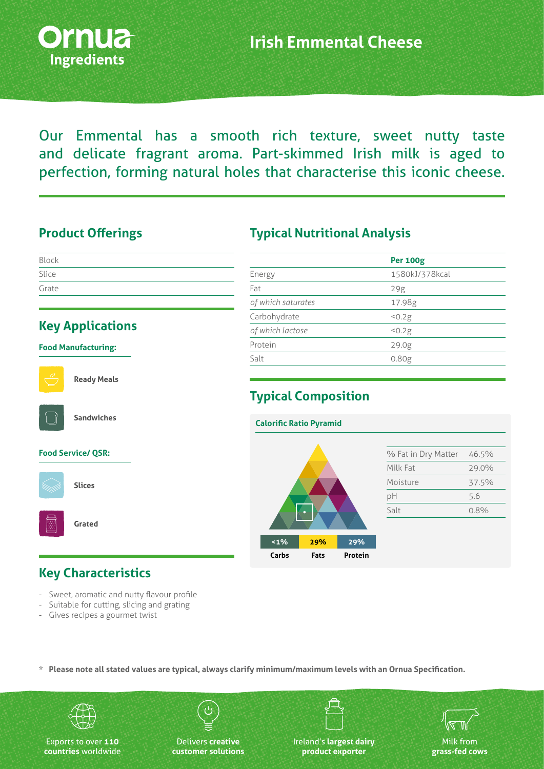

Our Emmental has a smooth rich texture, sweet nutty taste and delicate fragrant aroma. Part-skimmed Irish milk is aged to perfection, forming natural holes that characterise this iconic cheese.

#### **Product Offerings**

| Block |  |  |  |
|-------|--|--|--|
| Slice |  |  |  |
| Grate |  |  |  |

#### **Key Applications**

#### **Food Manufacturing:**



**Ready Meals**



**Sandwiches**

#### **Food Service/ QSR:**



**Slices**

**Grated**

### **Key Characteristics**

- Sweet, aromatic and nutty flavour profile
- Suitable for cutting, slicing and grating
- Gives recipes a gourmet twist

#### **Typical Nutritional Analysis**

|                    | <b>Per 100g</b>   |  |
|--------------------|-------------------|--|
| Energy             | 1580kJ/378kcal    |  |
| Fat                | 29g               |  |
| of which saturates | 17.98g            |  |
| Carbohydrate       | 50.2g             |  |
| of which lactose   | 50.2g             |  |
| Protein            | 29.0g             |  |
| Salt               | 0.80 <sub>g</sub> |  |
|                    |                   |  |

# **Typical Composition**



**\* Please note all stated values are typical, always clarify minimum/maximum levels with an Ornua Specification.**



Exports to over **110 countries** worldwide

Delivers **creative customer solutions**

Ireland's **largest dairy product exporter**